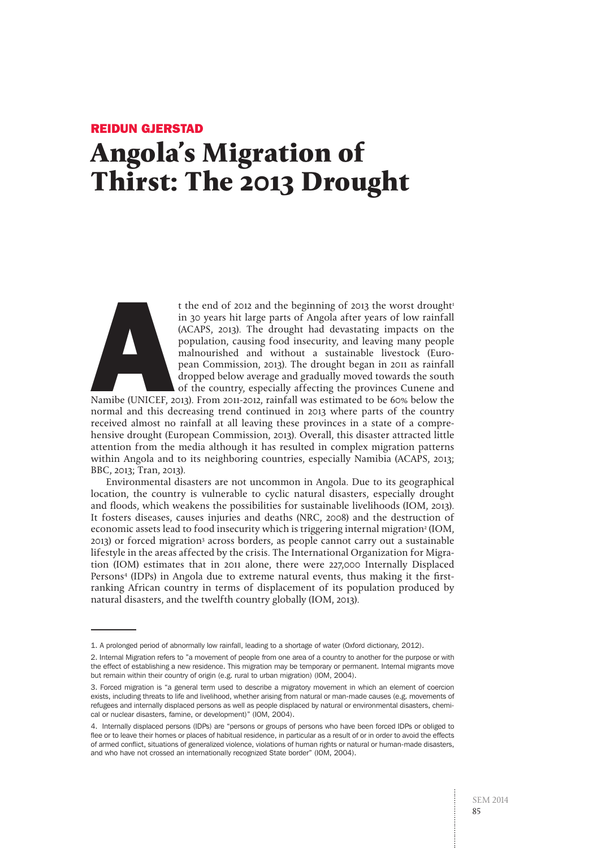# Reidun GJERSTAD **Angola's Migration of Thirst: The 2013 Drought**



t the end of 2012 and the beginning of 2013 the worst drought<sup>t</sup><br>in 30 years hit large parts of Angola after years of low rainfall<br>(ACAPS, 2013). The drought had devastating impacts on the<br>population, causing food insecuri in 30 years hit large parts of Angola after years of low rainfall (ACAPS, 2013). The drought had devastating impacts on the population, causing food insecurity, and leaving many people malnourished and without a sustainable livestock (European Commission, 2013). The drought began in 2011 as rainfall dropped below average and gradually moved towards the south of the country, especially affecting the provinces Cunene and

Namibe (UNICEF, 2013). From 2011-2012, rainfall was estimated to be 60% below the normal and this decreasing trend continued in 2013 where parts of the country received almost no rainfall at all leaving these provinces in a state of a comprehensive drought (European Commission, 2013). Overall, this disaster attracted little attention from the media although it has resulted in complex migration patterns within Angola and to its neighboring countries, especially Namibia (ACAPS, 2013; BBC, 2013; Tran, 2013).

Environmental disasters are not uncommon in Angola. Due to its geographical location, the country is vulnerable to cyclic natural disasters, especially drought and floods, which weakens the possibilities for sustainable livelihoods (IOM, 2013). It fosters diseases, causes injuries and deaths (NRC, 2008) and the destruction of economic assets lead to food insecurity which is triggering internal migration<sup>2</sup> (IOM, 2013) or forced migration3 across borders, as people cannot carry out a sustainable lifestyle in the areas affected by the crisis. The International Organization for Migration (IOM) estimates that in 2011 alone, there were 227,000 Internally Displaced Persons4 (IDPs) in Angola due to extreme natural events, thus making it the firstranking African country in terms of displacement of its population produced by natural disasters, and the twelfth country globally (IOM, 2013).

<sup>1.</sup> A prolonged period of abnormally low rainfall, leading to a shortage of water (Oxford dictionary, 2012).

<sup>2.</sup> Internal Migration refers to "a movement of people from one area of a country to another for the purpose or with the effect of establishing a new residence. This migration may be temporary or permanent. Internal migrants move but remain within their country of origin (e.g. rural to urban migration) (IOM, 2004).

<sup>3.</sup> Forced migration is "a general term used to describe a migratory movement in which an element of coercion exists, including threats to life and livelihood, whether arising from natural or man-made causes (e.g. movements of refugees and internally displaced persons as well as people displaced by natural or environmental disasters, chemical or nuclear disasters, famine, or development)" (IOM, 2004).

<sup>4.</sup> Internally displaced persons (IDPs) are "persons or groups of persons who have been forced IDPs or obliged to flee or to leave their homes or places of habitual residence, in particular as a result of or in order to avoid the effects of armed conflict, situations of generalized violence, violations of human rights or natural or human-made disasters, and who have not crossed an internationally recognized State border" (IOM, 2004).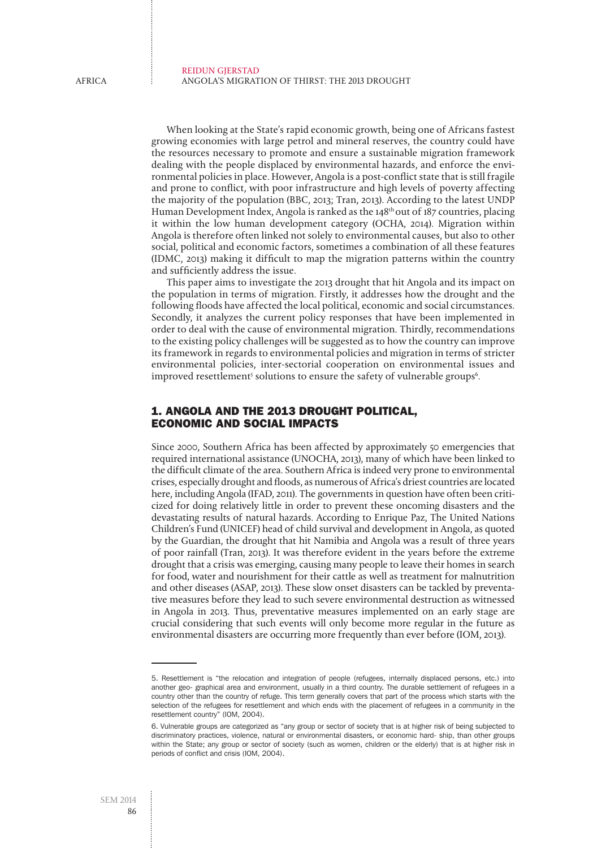When looking at the State's rapid economic growth, being one of Africans fastest growing economies with large petrol and mineral reserves, the country could have the resources necessary to promote and ensure a sustainable migration framework dealing with the people displaced by environmental hazards, and enforce the environmental policies in place. However, Angola is a post-conflict state that is still fragile and prone to conflict, with poor infrastructure and high levels of poverty affecting the majority of the population (BBC, 2013; Tran, 2013). According to the latest UNDP Human Development Index, Angola is ranked as the  $148<sup>th</sup>$  out of 187 countries, placing it within the low human development category (OCHA, 2014). Migration within Angola is therefore often linked not solely to environmental causes, but also to other social, political and economic factors, sometimes a combination of all these features (IDMC, 2013) making it difficult to map the migration patterns within the country and sufficiently address the issue.

This paper aims to investigate the 2013 drought that hit Angola and its impact on the population in terms of migration. Firstly, it addresses how the drought and the following floods have affected the local political, economic and social circumstances. Secondly, it analyzes the current policy responses that have been implemented in order to deal with the cause of environmental migration. Thirdly, recommendations to the existing policy challenges will be suggested as to how the country can improve its framework in regards to environmental policies and migration in terms of stricter environmental policies, inter-sectorial cooperation on environmental issues and improved resettlement<sup>5</sup> solutions to ensure the safety of vulnerable groups<sup>6</sup>.

# 1. Angola and the 2013 Drought Political, Economic and Social Impacts

Since 2000, Southern Africa has been affected by approximately 50 emergencies that required international assistance (UNOCHA, 2013), many of which have been linked to the difficult climate of the area. Southern Africa is indeed very prone to environmental crises, especially drought and floods, as numerous of Africa's driest countries are located here, including Angola (IFAD, 2011). The governments in question have often been criticized for doing relatively little in order to prevent these oncoming disasters and the devastating results of natural hazards. According to Enrique Paz, The United Nations Children's Fund (UNICEF) head of child survival and development in Angola, as quoted by the Guardian, the drought that hit Namibia and Angola was a result of three years of poor rainfall (Tran, 2013). It was therefore evident in the years before the extreme drought that a crisis was emerging, causing many people to leave their homes in search for food, water and nourishment for their cattle as well as treatment for malnutrition and other diseases (ASAP, 2013). These slow onset disasters can be tackled by preventative measures before they lead to such severe environmental destruction as witnessed in Angola in 2013. Thus, preventative measures implemented on an early stage are crucial considering that such events will only become more regular in the future as environmental disasters are occurring more frequently than ever before (IOM, 2013).

<sup>5.</sup> Resettlement is "the relocation and integration of people (refugees, internally displaced persons, etc.) into another geo- graphical area and environment, usually in a third country. The durable settlement of refugees in a country other than the country of refuge. This term generally covers that part of the process which starts with the selection of the refugees for resettlement and which ends with the placement of refugees in a community in the resettlement country" (IOM, 2004).

<sup>6.</sup> Vulnerable groups are categorized as "any group or sector of society that is at higher risk of being subjected to discriminatory practices, violence, natural or environmental disasters, or economic hard- ship, than other groups within the State; any group or sector of society (such as women, children or the elderly) that is at higher risk in periods of conflict and crisis (IOM, 2004).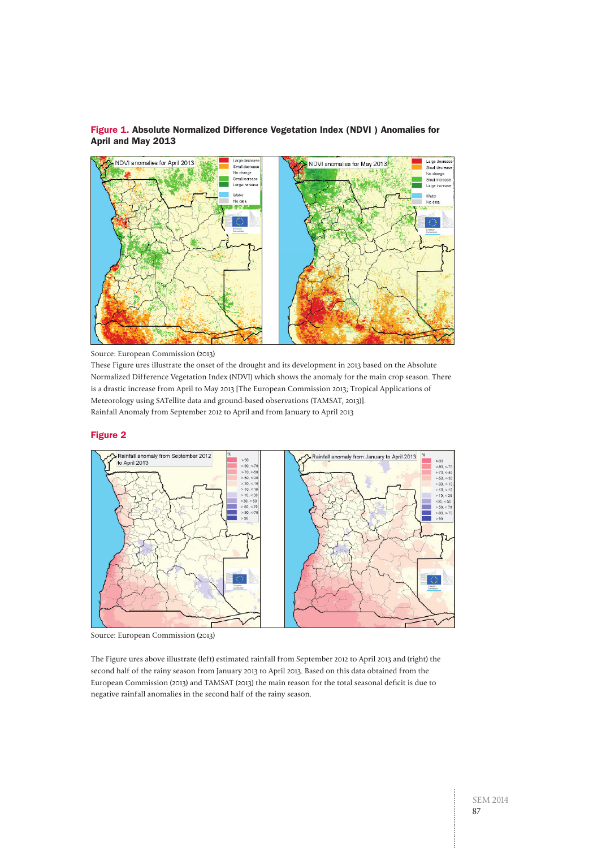

# Figure 1. Absolute Normalized Difference Vegetation Index (NDVI ) Anomalies for April and May 2013

Source: European Commission (2013)

These Figure ures illustrate the onset of the drought and its development in 2013 based on the Absolute Normalized Difference Vegetation Index (NDVI) which shows the anomaly for the main crop season. There is a drastic increase from April to May 2013 [The European Commission 2013; Tropical Applications of Meteorology using SATellite data and ground-based observations (TAMSAT, 2013)]. Rainfall Anomaly from September 2012 to April and from January to April 2013

#### Figure 2



Source: European Commission (2013)

The Figure ures above illustrate (left) estimated rainfall from September 2012 to April 2013 and (right) the second half of the rainy season from January 2013 to April 2013. Based on this data obtained from the European Commission (2013) and TAMSAT (2013) the main reason for the total seasonal deficit is due to negative rainfall anomalies in the second half of the rainy season.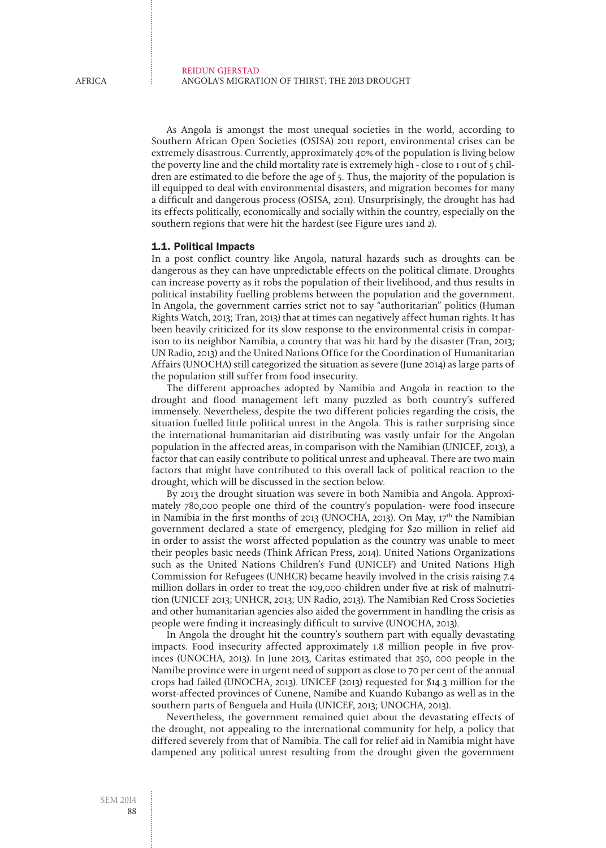As Angola is amongst the most unequal societies in the world, according to Southern African Open Societies (OSISA) 2011 report, environmental crises can be extremely disastrous. Currently, approximately 40% of the population is living below the poverty line and the child mortality rate is extremely high - close to 1 out of 5 children are estimated to die before the age of 5. Thus, the majority of the population is ill equipped to deal with environmental disasters, and migration becomes for many a difficult and dangerous process (OSISA, 2011). Unsurprisingly, the drought has had its effects politically, economically and socially within the country, especially on the southern regions that were hit the hardest (see Figure ures 1and 2).

#### 1.1. Political Impacts

In a post conflict country like Angola, natural hazards such as droughts can be dangerous as they can have unpredictable effects on the political climate. Droughts can increase poverty as it robs the population of their livelihood, and thus results in political instability fuelling problems between the population and the government. In Angola, the government carries strict not to say "authoritarian" politics (Human Rights Watch, 2013; Tran, 2013) that at times can negatively affect human rights. It has been heavily criticized for its slow response to the environmental crisis in comparison to its neighbor Namibia, a country that was hit hard by the disaster (Tran, 2013; UN Radio, 2013) and the United Nations Office for the Coordination of Humanitarian Affairs (UNOCHA) still categorized the situation as severe (June 2014) as large parts of the population still suffer from food insecurity.

The different approaches adopted by Namibia and Angola in reaction to the drought and flood management left many puzzled as both country's suffered immensely. Nevertheless, despite the two different policies regarding the crisis, the situation fuelled little political unrest in the Angola. This is rather surprising since the international humanitarian aid distributing was vastly unfair for the Angolan population in the affected areas, in comparison with the Namibian (UNICEF, 2013), a factor that can easily contribute to political unrest and upheaval. There are two main factors that might have contributed to this overall lack of political reaction to the drought, which will be discussed in the section below.

By 2013 the drought situation was severe in both Namibia and Angola. Approximately 780,000 people one third of the country's population- were food insecure in Namibia in the first months of 2013 (UNOCHA, 2013). On May,  $17<sup>th</sup>$  the Namibian government declared a state of emergency, pledging for \$20 million in relief aid in order to assist the worst affected population as the country was unable to meet their peoples basic needs (Think African Press, 2014). United Nations Organizations such as the United Nations Children's Fund (UNICEF) and United Nations High Commission for Refugees (UNHCR) became heavily involved in the crisis raising 7.4 million dollars in order to treat the 109,000 children under five at risk of malnutrition (UNICEF 2013; UNHCR, 2013; UN Radio, 2013). The Namibian Red Cross Societies and other humanitarian agencies also aided the government in handling the crisis as people were finding it increasingly difficult to survive (UNOCHA, 2013).

In Angola the drought hit the country's southern part with equally devastating impacts. Food insecurity affected approximately 1.8 million people in five provinces (UNOCHA, 2013). In June 2013, Caritas estimated that 250, 000 people in the Namibe province were in urgent need of support as close to 70 per cent of the annual crops had failed (UNOCHA, 2013). UNICEF (2013) requested for \$14.3 million for the worst-affected provinces of Cunene, Namibe and Kuando Kubango as well as in the southern parts of Benguela and Huila (UNICEF, 2013; UNOCHA, 2013).

Nevertheless, the government remained quiet about the devastating effects of the drought, not appealing to the international community for help, a policy that differed severely from that of Namibia. The call for relief aid in Namibia might have dampened any political unrest resulting from the drought given the government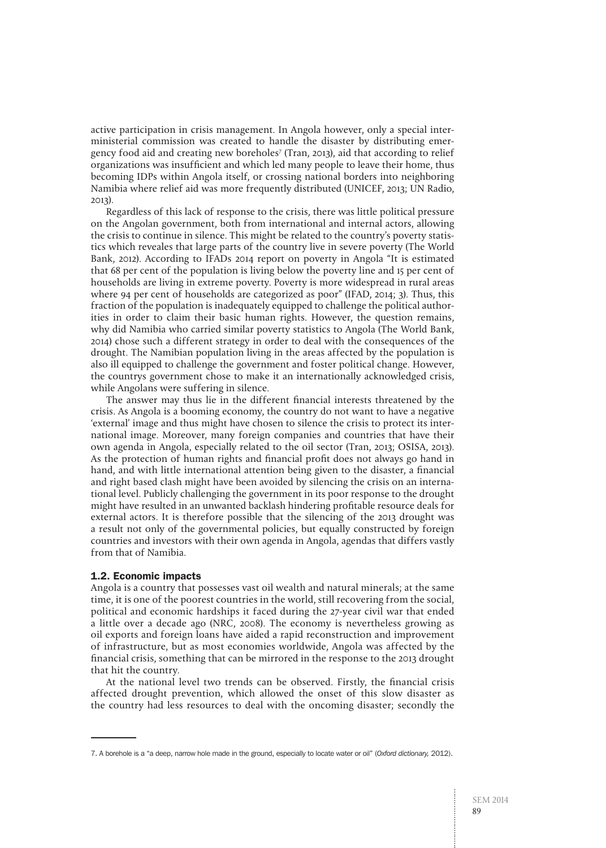active participation in crisis management. In Angola however, only a special interministerial commission was created to handle the disaster by distributing emergency food aid and creating new boreholes7 (Tran, 2013), aid that according to relief organizations was insufficient and which led many people to leave their home, thus becoming IDPs within Angola itself, or crossing national borders into neighboring Namibia where relief aid was more frequently distributed (UNICEF, 2013; UN Radio, 2013).

Regardless of this lack of response to the crisis, there was little political pressure on the Angolan government, both from international and internal actors, allowing the crisis to continue in silence. This might be related to the country's poverty statistics which reveales that large parts of the country live in severe poverty (The World Bank, 2012). According to IFADs 2014 report on poverty in Angola "It is estimated that 68 per cent of the population is living below the poverty line and 15 per cent of households are living in extreme poverty. Poverty is more widespread in rural areas where 94 per cent of households are categorized as poor" (IFAD, 2014; 3). Thus, this fraction of the population is inadequately equipped to challenge the political authorities in order to claim their basic human rights. However, the question remains, why did Namibia who carried similar poverty statistics to Angola (The World Bank, 2014) chose such a different strategy in order to deal with the consequences of the drought. The Namibian population living in the areas affected by the population is also ill equipped to challenge the government and foster political change. However, the countrys government chose to make it an internationally acknowledged crisis, while Angolans were suffering in silence.

The answer may thus lie in the different financial interests threatened by the crisis. As Angola is a booming economy, the country do not want to have a negative 'external' image and thus might have chosen to silence the crisis to protect its international image. Moreover, many foreign companies and countries that have their own agenda in Angola, especially related to the oil sector (Tran, 2013; OSISA, 2013). As the protection of human rights and financial profit does not always go hand in hand, and with little international attention being given to the disaster, a financial and right based clash might have been avoided by silencing the crisis on an international level. Publicly challenging the government in its poor response to the drought might have resulted in an unwanted backlash hindering profitable resource deals for external actors. It is therefore possible that the silencing of the 2013 drought was a result not only of the governmental policies, but equally constructed by foreign countries and investors with their own agenda in Angola, agendas that differs vastly from that of Namibia.

### 1.2. Economic impacts

Angola is a country that possesses vast oil wealth and natural minerals; at the same time, it is one of the poorest countries in the world, still recovering from the social, political and economic hardships it faced during the 27-year civil war that ended a little over a decade ago (NRC, 2008). The economy is nevertheless growing as oil exports and foreign loans have aided a rapid reconstruction and improvement of infrastructure, but as most economies worldwide, Angola was affected by the financial crisis, something that can be mirrored in the response to the 2013 drought that hit the country.

At the national level two trends can be observed. Firstly, the financial crisis affected drought prevention, which allowed the onset of this slow disaster as the country had less resources to deal with the oncoming disaster; secondly the

<sup>7.</sup> A borehole is a "a deep, narrow hole made in the ground, especially to locate water or oil" (*Oxford dictionary,* 2012).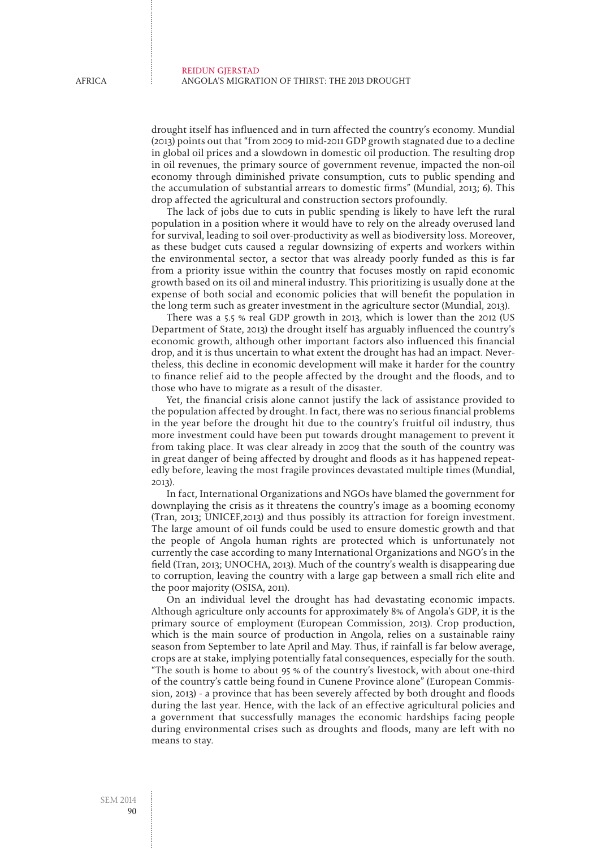drought itself has influenced and in turn affected the country's economy. Mundial (2013) points out that "from 2009 to mid-2011 GDP growth stagnated due to a decline in global oil prices and a slowdown in domestic oil production. The resulting drop in oil revenues, the primary source of government revenue, impacted the non-oil economy through diminished private consumption, cuts to public spending and the accumulation of substantial arrears to domestic firms" (Mundial, 2013; 6). This drop affected the agricultural and construction sectors profoundly.

The lack of jobs due to cuts in public spending is likely to have left the rural population in a position where it would have to rely on the already overused land for survival, leading to soil over-productivity as well as biodiversity loss. Moreover, as these budget cuts caused a regular downsizing of experts and workers within the environmental sector, a sector that was already poorly funded as this is far from a priority issue within the country that focuses mostly on rapid economic growth based on its oil and mineral industry. This prioritizing is usually done at the expense of both social and economic policies that will benefit the population in the long term such as greater investment in the agriculture sector (Mundial, 2013).

There was a 5.5 % real GDP growth in 2013, which is lower than the 2012 (US Department of State, 2013) the drought itself has arguably influenced the country's economic growth, although other important factors also influenced this financial drop, and it is thus uncertain to what extent the drought has had an impact. Nevertheless, this decline in economic development will make it harder for the country to finance relief aid to the people affected by the drought and the floods, and to those who have to migrate as a result of the disaster.

Yet, the financial crisis alone cannot justify the lack of assistance provided to the population affected by drought. In fact, there was no serious financial problems in the year before the drought hit due to the country's fruitful oil industry, thus more investment could have been put towards drought management to prevent it from taking place. It was clear already in 2009 that the south of the country was in great danger of being affected by drought and floods as it has happened repeatedly before, leaving the most fragile provinces devastated multiple times (Mundial, 2013).

In fact, International Organizations and NGOs have blamed the government for downplaying the crisis as it threatens the country's image as a booming economy (Tran, 2013; UNICEF,2013) and thus possibly its attraction for foreign investment. The large amount of oil funds could be used to ensure domestic growth and that the people of Angola human rights are protected which is unfortunately not currently the case according to many International Organizations and NGO's in the field (Tran, 2013; UNOCHA, 2013). Much of the country's wealth is disappearing due to corruption, leaving the country with a large gap between a small rich elite and the poor majority (OSISA, 2011).

On an individual level the drought has had devastating economic impacts. Although agriculture only accounts for approximately 8% of Angola's GDP, it is the primary source of employment (European Commission, 2013). Crop production, which is the main source of production in Angola, relies on a sustainable rainy season from September to late April and May. Thus, if rainfall is far below average, crops are at stake, implying potentially fatal consequences, especially for the south. "The south is home to about 95 % of the country's livestock, with about one-third of the country's cattle being found in Cunene Province alone" (European Commission, 2013) - a province that has been severely affected by both drought and floods during the last year. Hence, with the lack of an effective agricultural policies and a government that successfully manages the economic hardships facing people during environmental crises such as droughts and floods, many are left with no means to stay.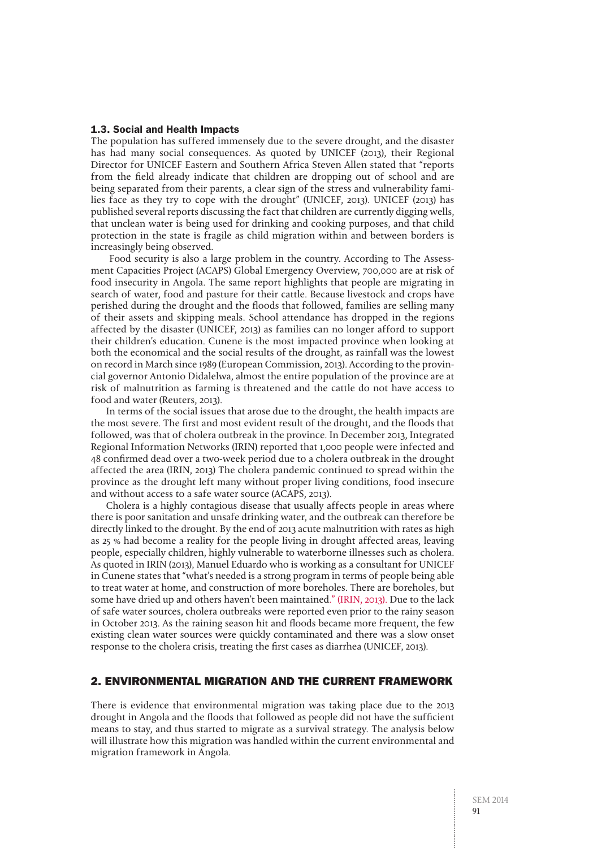#### 1.3. Social and Health Impacts

The population has suffered immensely due to the severe drought, and the disaster has had many social consequences. As quoted by UNICEF (2013), their Regional Director for UNICEF Eastern and Southern Africa Steven Allen stated that "reports from the field already indicate that children are dropping out of school and are being separated from their parents, a clear sign of the stress and vulnerability families face as they try to cope with the drought" (UNICEF, 2013). UNICEF (2013) has published several reports discussing the fact that children are currently digging wells, that unclean water is being used for drinking and cooking purposes, and that child protection in the state is fragile as child migration within and between borders is increasingly being observed.

 Food security is also a large problem in the country. According to The Assessment Capacities Project (ACAPS) Global Emergency Overview, 700,000 are at risk of food insecurity in Angola. The same report highlights that people are migrating in search of water, food and pasture for their cattle. Because livestock and crops have perished during the drought and the floods that followed, families are selling many of their assets and skipping meals. School attendance has dropped in the regions affected by the disaster (UNICEF, 2013) as families can no longer afford to support their children's education. Cunene is the most impacted province when looking at both the economical and the social results of the drought, as rainfall was the lowest on record in March since 1989 (European Commission, 2013). According to the provincial governor Antonio Didalelwa, almost the entire population of the province are at risk of malnutrition as farming is threatened and the cattle do not have access to food and water (Reuters, 2013).

In terms of the social issues that arose due to the drought, the health impacts are the most severe. The first and most evident result of the drought, and the floods that followed, was that of cholera outbreak in the province. In December 2013, Integrated Regional Information Networks (IRIN) reported that 1,000 people were infected and 48 confirmed dead over a two-week period due to a cholera outbreak in the drought affected the area (IRIN, 2013) The cholera pandemic continued to spread within the province as the drought left many without proper living conditions, food insecure and without access to a safe water source (ACAPS, 2013).

Cholera is a highly contagious disease that usually affects people in areas where there is poor sanitation and unsafe drinking water, and the outbreak can therefore be directly linked to the drought. By the end of 2013 acute malnutrition with rates as high as 25 % had become a reality for the people living in drought affected areas, leaving people, especially children, highly vulnerable to waterborne illnesses such as cholera. As quoted in IRIN (2013), Manuel Eduardo who is working as a consultant for UNICEF in Cunene states that "what's needed is a strong program in terms of people being able to treat water at home, and construction of more boreholes. There are boreholes, but some have dried up and others haven't been maintained." (IRIN, 2013). Due to the lack of safe water sources, cholera outbreaks were reported even prior to the rainy season in October 2013. As the raining season hit and floods became more frequent, the few existing clean water sources were quickly contaminated and there was a slow onset response to the cholera crisis, treating the first cases as diarrhea (UNICEF, 2013).

# 2. Environmental Migration and the Current Framework

There is evidence that environmental migration was taking place due to the 2013 drought in Angola and the floods that followed as people did not have the sufficient means to stay, and thus started to migrate as a survival strategy. The analysis below will illustrate how this migration was handled within the current environmental and migration framework in Angola.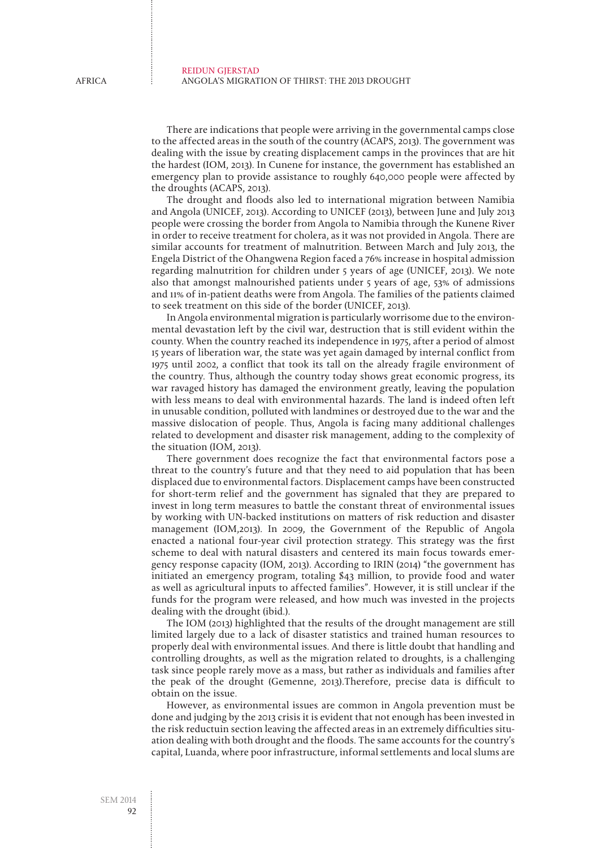There are indications that people were arriving in the governmental camps close to the affected areas in the south of the country (ACAPS, 2013). The government was dealing with the issue by creating displacement camps in the provinces that are hit the hardest (IOM, 2013). In Cunene for instance, the government has established an emergency plan to provide assistance to roughly 640,000 people were affected by the droughts (ACAPS, 2013).

The drought and floods also led to international migration between Namibia and Angola (UNICEF, 2013). According to UNICEF (2013), between June and July 2013 people were crossing the border from Angola to Namibia through the Kunene River in order to receive treatment for cholera, as it was not provided in Angola. There are similar accounts for treatment of malnutrition. Between March and July 2013, the Engela District of the Ohangwena Region faced a 76% increase in hospital admission regarding malnutrition for children under 5 years of age (UNICEF, 2013). We note also that amongst malnourished patients under 5 years of age, 53% of admissions and 11% of in-patient deaths were from Angola. The families of the patients claimed to seek treatment on this side of the border (UNICEF, 2013).

In Angola environmental migration is particularly worrisome due to the environmental devastation left by the civil war, destruction that is still evident within the county. When the country reached its independence in 1975, after a period of almost 15 years of liberation war, the state was yet again damaged by internal conflict from 1975 until 2002, a conflict that took its tall on the already fragile environment of the country. Thus, although the country today shows great economic progress, its war ravaged history has damaged the environment greatly, leaving the population with less means to deal with environmental hazards. The land is indeed often left in unusable condition, polluted with landmines or destroyed due to the war and the massive dislocation of people. Thus, Angola is facing many additional challenges related to development and disaster risk management, adding to the complexity of the situation (IOM, 2013).

There government does recognize the fact that environmental factors pose a threat to the country's future and that they need to aid population that has been displaced due to environmental factors. Displacement camps have been constructed for short-term relief and the government has signaled that they are prepared to invest in long term measures to battle the constant threat of environmental issues by working with UN-backed institutions on matters of risk reduction and disaster management (IOM,2013). In 2009, the Government of the Republic of Angola enacted a national four-year civil protection strategy. This strategy was the first scheme to deal with natural disasters and centered its main focus towards emergency response capacity (IOM, 2013). According to IRIN (2014) "the government has initiated an emergency program, totaling \$43 million, to provide food and water as well as agricultural inputs to affected families". However, it is still unclear if the funds for the program were released, and how much was invested in the projects dealing with the drought (ibid.).

The IOM (2013) highlighted that the results of the drought management are still limited largely due to a lack of disaster statistics and trained human resources to properly deal with environmental issues. And there is little doubt that handling and controlling droughts, as well as the migration related to droughts, is a challenging task since people rarely move as a mass, but rather as individuals and families after the peak of the drought (Gemenne, 2013).Therefore, precise data is difficult to obtain on the issue.

However, as environmental issues are common in Angola prevention must be done and judging by the 2013 crisis it is evident that not enough has been invested in the risk reductuin section leaving the affected areas in an extremely difficulties situation dealing with both drought and the floods. The same accounts for the country's capital, Luanda, where poor infrastructure, informal settlements and local slums are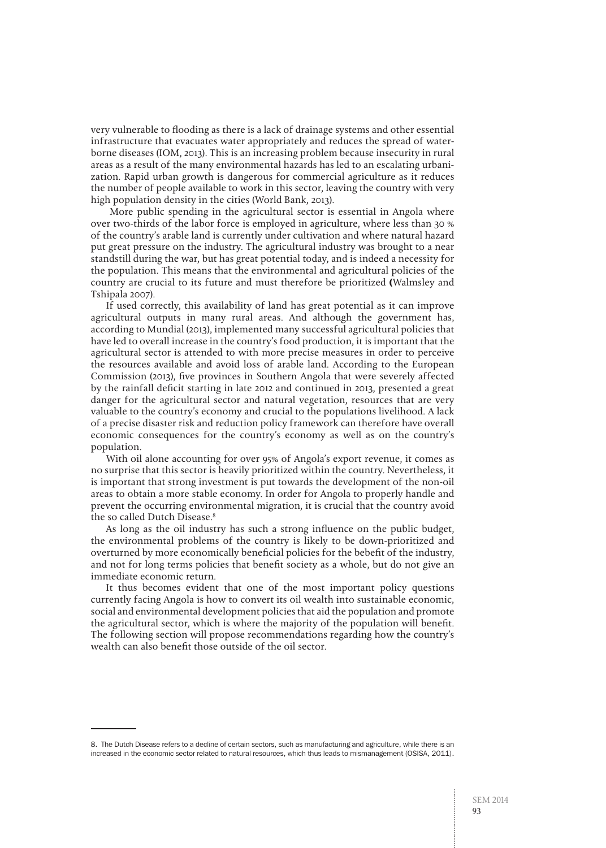very vulnerable to flooding as there is a lack of drainage systems and other essential infrastructure that evacuates water appropriately and reduces the spread of waterborne diseases (IOM, 2013). This is an increasing problem because insecurity in rural areas as a result of the many environmental hazards has led to an escalating urbanization. Rapid urban growth is dangerous for commercial agriculture as it reduces the number of people available to work in this sector, leaving the country with very high population density in the cities (World Bank, 2013).

 More public spending in the agricultural sector is essential in Angola where over two-thirds of the labor force is employed in agriculture, where less than 30 % of the country's arable land is currently under cultivation and where natural hazard put great pressure on the industry. The agricultural industry was brought to a near standstill during the war, but has great potential today, and is indeed a necessity for the population. This means that the environmental and agricultural policies of the country are crucial to its future and must therefore be prioritized **(**Walmsley and Tshipala 2007).

If used correctly, this availability of land has great potential as it can improve agricultural outputs in many rural areas. And although the government has, according to Mundial (2013), implemented many successful agricultural policies that have led to overall increase in the country's food production, it is important that the agricultural sector is attended to with more precise measures in order to perceive the resources available and avoid loss of arable land. According to the European Commission (2013), five provinces in Southern Angola that were severely affected by the rainfall deficit starting in late 2012 and continued in 2013, presented a great danger for the agricultural sector and natural vegetation, resources that are very valuable to the country's economy and crucial to the populations livelihood. A lack of a precise disaster risk and reduction policy framework can therefore have overall economic consequences for the country's economy as well as on the country's population.

With oil alone accounting for over 95% of Angola's export revenue, it comes as no surprise that this sector is heavily prioritized within the country. Nevertheless, it is important that strong investment is put towards the development of the non-oil areas to obtain a more stable economy. In order for Angola to properly handle and prevent the occurring environmental migration, it is crucial that the country avoid the so called Dutch Disease.<sup>8</sup>

As long as the oil industry has such a strong influence on the public budget, the environmental problems of the country is likely to be down-prioritized and overturned by more economically beneficial policies for the bebefit of the industry, and not for long terms policies that benefit society as a whole, but do not give an immediate economic return.

It thus becomes evident that one of the most important policy questions currently facing Angola is how to convert its oil wealth into sustainable economic, social and environmental development policies that aid the population and promote the agricultural sector, which is where the majority of the population will benefit. The following section will propose recommendations regarding how the country's wealth can also benefit those outside of the oil sector.

<sup>8.</sup> The Dutch Disease refers to a decline of certain sectors, such as manufacturing and agriculture, while there is an increased in the economic sector related to natural resources, which thus leads to mismanagement (OSISA, 2011).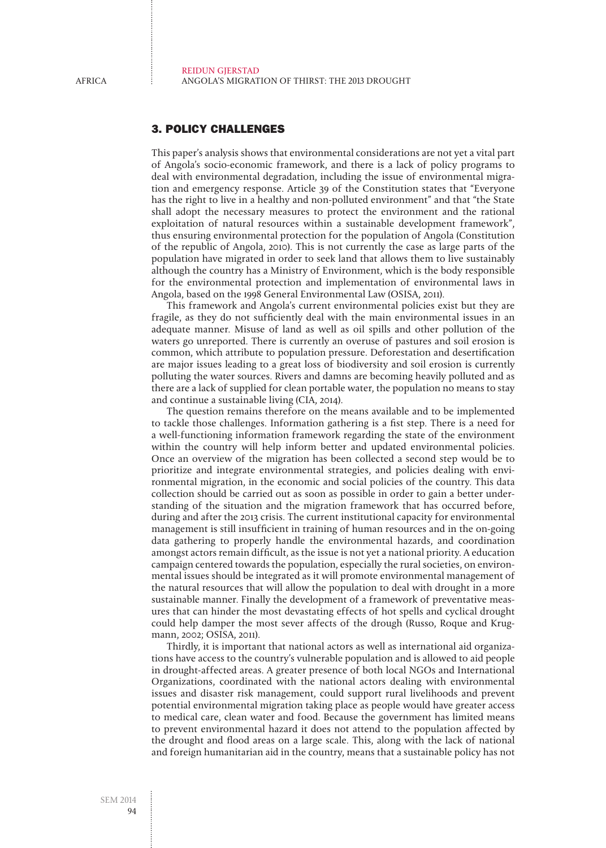# 3. Policy Challenges

This paper's analysis shows that environmental considerations are not yet a vital part of Angola's socio-economic framework, and there is a lack of policy programs to deal with environmental degradation, including the issue of environmental migration and emergency response. Article 39 of the Constitution states that "Everyone has the right to live in a healthy and non-polluted environment" and that "the State shall adopt the necessary measures to protect the environment and the rational exploitation of natural resources within a sustainable development framework", thus ensuring environmental protection for the population of Angola (Constitution of the republic of Angola, 2010). This is not currently the case as large parts of the population have migrated in order to seek land that allows them to live sustainably although the country has a Ministry of Environment, which is the body responsible for the environmental protection and implementation of environmental laws in Angola, based on the 1998 General Environmental Law (OSISA, 2011).

This framework and Angola's current environmental policies exist but they are fragile, as they do not sufficiently deal with the main environmental issues in an adequate manner. Misuse of land as well as oil spills and other pollution of the waters go unreported. There is currently an overuse of pastures and soil erosion is common, which attribute to population pressure. Deforestation and desertification are major issues leading to a great loss of biodiversity and soil erosion is currently polluting the water sources. Rivers and damns are becoming heavily polluted and as there are a lack of supplied for clean portable water, the population no means to stay and continue a sustainable living (CIA, 2014).

The question remains therefore on the means available and to be implemented to tackle those challenges. Information gathering is a fist step. There is a need for a well-functioning information framework regarding the state of the environment within the country will help inform better and updated environmental policies. Once an overview of the migration has been collected a second step would be to prioritize and integrate environmental strategies, and policies dealing with environmental migration, in the economic and social policies of the country. This data collection should be carried out as soon as possible in order to gain a better understanding of the situation and the migration framework that has occurred before, during and after the 2013 crisis. The current institutional capacity for environmental management is still insufficient in training of human resources and in the on-going data gathering to properly handle the environmental hazards, and coordination amongst actors remain difficult, as the issue is not yet a national priority. A education campaign centered towards the population, especially the rural societies, on environmental issues should be integrated as it will promote environmental management of the natural resources that will allow the population to deal with drought in a more sustainable manner. Finally the development of a framework of preventative measures that can hinder the most devastating effects of hot spells and cyclical drought could help damper the most sever affects of the drough (Russo, Roque and Krugmann, 2002; OSISA, 2011).

Thirdly, it is important that national actors as well as international aid organizations have access to the country's vulnerable population and is allowed to aid people in drought-affected areas. A greater presence of both local NGOs and International Organizations, coordinated with the national actors dealing with environmental issues and disaster risk management, could support rural livelihoods and prevent potential environmental migration taking place as people would have greater access to medical care, clean water and food. Because the government has limited means to prevent environmental hazard it does not attend to the population affected by the drought and flood areas on a large scale. This, along with the lack of national and foreign humanitarian aid in the country, means that a sustainable policy has not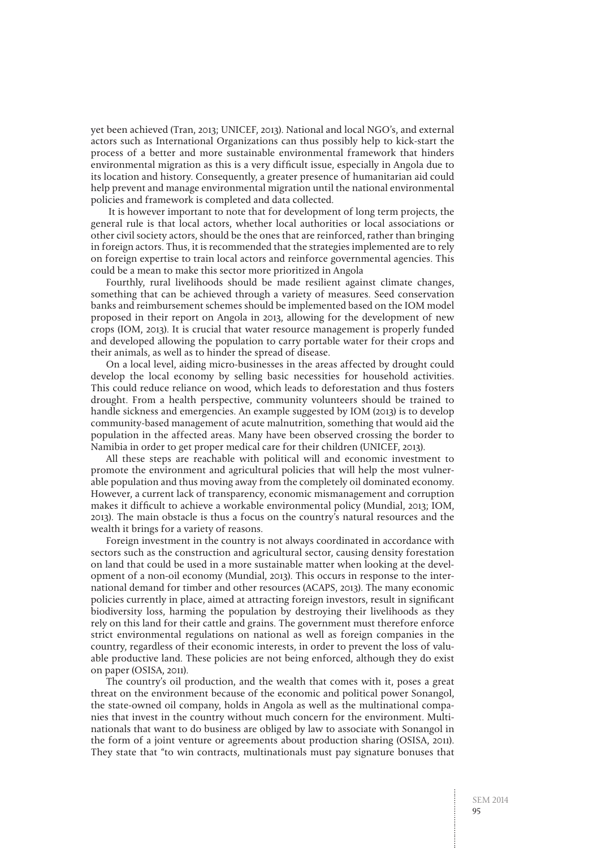yet been achieved (Tran, 2013; UNICEF, 2013). National and local NGO's, and external actors such as International Organizations can thus possibly help to kick-start the process of a better and more sustainable environmental framework that hinders environmental migration as this is a very difficult issue, especially in Angola due to its location and history. Consequently, a greater presence of humanitarian aid could help prevent and manage environmental migration until the national environmental policies and framework is completed and data collected.

 It is however important to note that for development of long term projects, the general rule is that local actors, whether local authorities or local associations or other civil society actors, should be the ones that are reinforced, rather than bringing in foreign actors. Thus, it is recommended that the strategies implemented are to rely on foreign expertise to train local actors and reinforce governmental agencies. This could be a mean to make this sector more prioritized in Angola

Fourthly, rural livelihoods should be made resilient against climate changes, something that can be achieved through a variety of measures. Seed conservation banks and reimbursement schemes should be implemented based on the IOM model proposed in their report on Angola in 2013, allowing for the development of new crops (IOM, 2013). It is crucial that water resource management is properly funded and developed allowing the population to carry portable water for their crops and their animals, as well as to hinder the spread of disease.

On a local level, aiding micro-businesses in the areas affected by drought could develop the local economy by selling basic necessities for household activities. This could reduce reliance on wood, which leads to deforestation and thus fosters drought. From a health perspective, community volunteers should be trained to handle sickness and emergencies. An example suggested by IOM (2013) is to develop community-based management of acute malnutrition, something that would aid the population in the affected areas. Many have been observed crossing the border to Namibia in order to get proper medical care for their children (UNICEF, 2013).

All these steps are reachable with political will and economic investment to promote the environment and agricultural policies that will help the most vulnerable population and thus moving away from the completely oil dominated economy. However, a current lack of transparency, economic mismanagement and corruption makes it difficult to achieve a workable environmental policy (Mundial, 2013; IOM, 2013). The main obstacle is thus a focus on the country's natural resources and the wealth it brings for a variety of reasons.

Foreign investment in the country is not always coordinated in accordance with sectors such as the construction and agricultural sector, causing density forestation on land that could be used in a more sustainable matter when looking at the development of a non-oil economy (Mundial, 2013). This occurs in response to the international demand for timber and other resources (ACAPS, 2013). The many economic policies currently in place, aimed at attracting foreign investors, result in significant biodiversity loss, harming the population by destroying their livelihoods as they rely on this land for their cattle and grains. The government must therefore enforce strict environmental regulations on national as well as foreign companies in the country, regardless of their economic interests, in order to prevent the loss of valuable productive land. These policies are not being enforced, although they do exist on paper (OSISA, 2011).

The country's oil production, and the wealth that comes with it, poses a great threat on the environment because of the economic and political power Sonangol, the state-owned oil company, holds in Angola as well as the multinational companies that invest in the country without much concern for the environment. Multinationals that want to do business are obliged by law to associate with Sonangol in the form of a joint venture or agreements about production sharing (OSISA, 2011). They state that "to win contracts, multinationals must pay signature bonuses that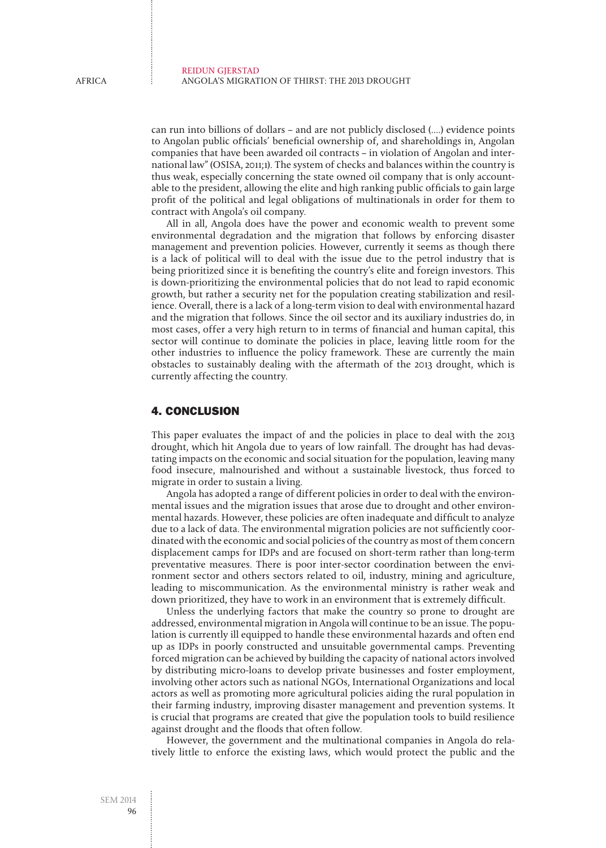can run into billions of dollars – and are not publicly disclosed (....) evidence points to Angolan public officials' beneficial ownership of, and shareholdings in, Angolan companies that have been awarded oil contracts – in violation of Angolan and international law" (OSISA, 2011;1). The system of checks and balances within the country is thus weak, especially concerning the state owned oil company that is only accountable to the president, allowing the elite and high ranking public officials to gain large profit of the political and legal obligations of multinationals in order for them to contract with Angola's oil company.

All in all, Angola does have the power and economic wealth to prevent some environmental degradation and the migration that follows by enforcing disaster management and prevention policies. However, currently it seems as though there is a lack of political will to deal with the issue due to the petrol industry that is being prioritized since it is benefiting the country's elite and foreign investors. This is down-prioritizing the environmental policies that do not lead to rapid economic growth, but rather a security net for the population creating stabilization and resilience. Overall, there is a lack of a long-term vision to deal with environmental hazard and the migration that follows. Since the oil sector and its auxiliary industries do, in most cases, offer a very high return to in terms of financial and human capital, this sector will continue to dominate the policies in place, leaving little room for the other industries to influence the policy framework. These are currently the main obstacles to sustainably dealing with the aftermath of the 2013 drought, which is currently affecting the country.

## 4. Conclusion

This paper evaluates the impact of and the policies in place to deal with the 2013 drought, which hit Angola due to years of low rainfall. The drought has had devastating impacts on the economic and social situation for the population, leaving many food insecure, malnourished and without a sustainable livestock, thus forced to migrate in order to sustain a living.

Angola has adopted a range of different policies in order to deal with the environmental issues and the migration issues that arose due to drought and other environmental hazards. However, these policies are often inadequate and difficult to analyze due to a lack of data. The environmental migration policies are not sufficiently coordinated with the economic and social policies of the country as most of them concern displacement camps for IDPs and are focused on short-term rather than long-term preventative measures. There is poor inter-sector coordination between the environment sector and others sectors related to oil, industry, mining and agriculture, leading to miscommunication. As the environmental ministry is rather weak and down prioritized, they have to work in an environment that is extremely difficult.

Unless the underlying factors that make the country so prone to drought are addressed, environmental migration in Angola will continue to be an issue. The population is currently ill equipped to handle these environmental hazards and often end up as IDPs in poorly constructed and unsuitable governmental camps. Preventing forced migration can be achieved by building the capacity of national actors involved by distributing micro-loans to develop private businesses and foster employment, involving other actors such as national NGOs, International Organizations and local actors as well as promoting more agricultural policies aiding the rural population in their farming industry, improving disaster management and prevention systems. It is crucial that programs are created that give the population tools to build resilience against drought and the floods that often follow.

However, the government and the multinational companies in Angola do relatively little to enforce the existing laws, which would protect the public and the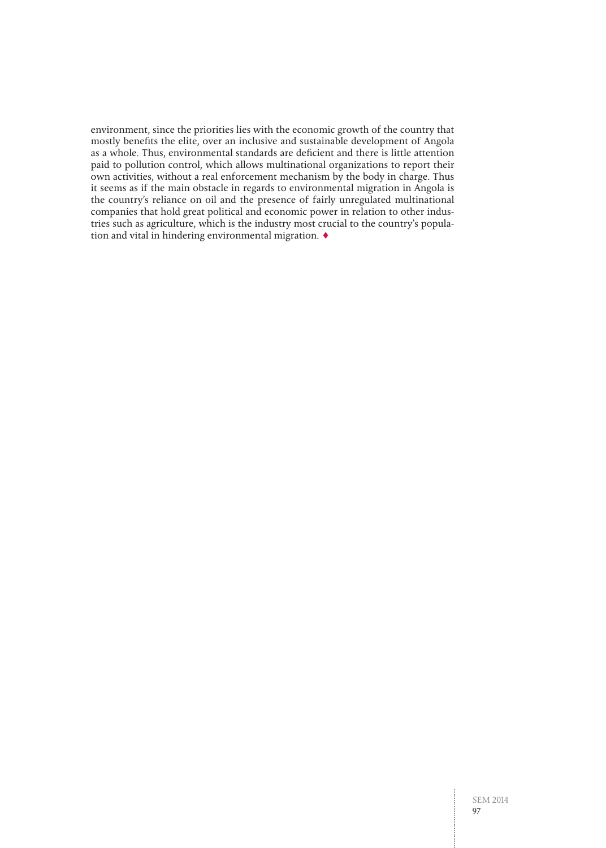environment, since the priorities lies with the economic growth of the country that mostly benefits the elite, over an inclusive and sustainable development of Angola as a whole. Thus, environmental standards are deficient and there is little attention paid to pollution control, which allows multinational organizations to report their own activities, without a real enforcement mechanism by the body in charge. Thus it seems as if the main obstacle in regards to environmental migration in Angola is the country's reliance on oil and the presence of fairly unregulated multinational companies that hold great political and economic power in relation to other industries such as agriculture, which is the industry most crucial to the country's population and vital in hindering environmental migration. ♦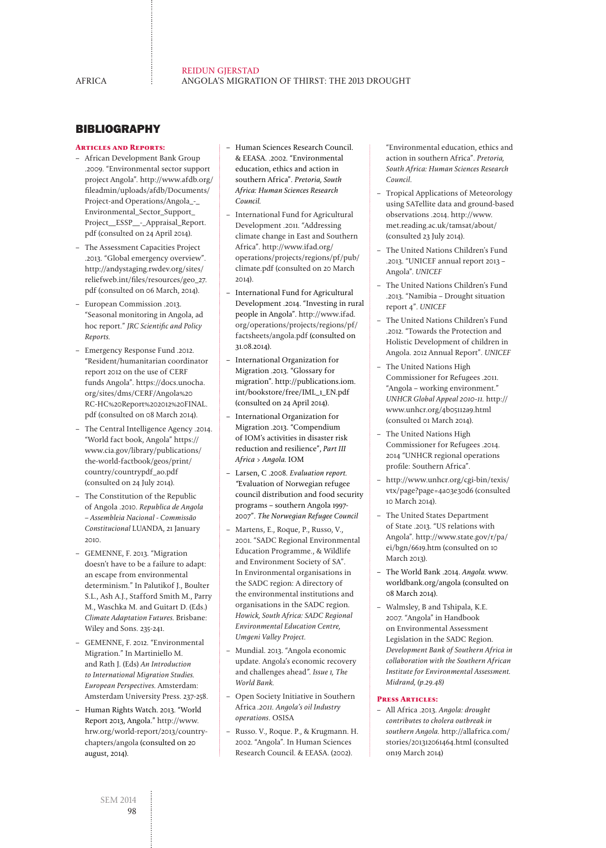# **BIBLIOGRAPHY**

#### **Articles and Reports:**

- African Development Bank Group .2009. "Environmental sector support project Angola". http://www.afdb.org/ fileadmin/uploads/afdb/Documents/ Project-and Operations/Angola\_-\_ Environmental\_Sector\_Support\_ Project\_\_ESSP\_\_-\_Appraisal\_Report. pdf (consulted on 24 April 2014).
- The Assessment Capacities Project .2013. "Global emergency overview". http://andystaging.rwdev.org/sites/ reliefweb.int/files/resources/geo\_27. pdf (consulted on 06 March, 2014).
- European Commission .2013. "Seasonal monitoring in Angola, ad hoc report." JRC Scientific and Policy Reports.
- Emergency Response Fund .2012. "Resident/humanitarian coordinator report 2012 on the use of CERF funds Angola". https://docs.unocha. org/sites/dms/CERF/Angola%20 RC-HC%20Report%202012%20FINAL. pdf (consulted on 08 March 2014).
- The Central Intelligence Agency .2014. "World fact book, Angola" https:// www.cia.gov/library/publications/ the-world-factbook/geos/print/ country/countrypdf\_ao.pdf (consulted on 24 July 2014).
- The Constitution of the Republic of Angola .2010. Republica de Angola – Assembleia Nacional - Commissão Constitucional LUANDA, 21 January 2010.
- GEMENNE, F. 2013. "Migration doesn't have to be a failure to adapt: an escape from environmental determinism." In Palutikof J., Boulter S.L., Ash A.J., Stafford Smith M., Parry M., Waschka M. and Guitart D. (Eds.) Climate Adaptation Futures. Brisbane: Wiley and Sons. 235-241.
- GEMENNE, F. 2012. "Environmental Migration." In Martiniello M. and Rath J. (Eds) An Introduction to International Migration Studies. European Perspectives. Amsterdam: Amsterdam University Press. 237-258.
- Human Rights Watch. 2013. "World Report 2013, Angola." http://www. hrw.org/world-report/2013/countrychapters/angola (consulted on 20 august, 2014).
- Human Sciences Research Council. & EEASA. .2002. "Environmental education, ethics and action in southern Africa". Pretoria, South Africa: Human Sciences Research Council.
- International Fund for Agricultural Development .2011. "Addressing climate change in East and Southern Africa". http://www.ifad.org/ operations/projects/regions/pf/pub/ climate.pdf (consulted on 20 March 2014).
- International Fund for Agricultural Development .2014. "Investing in rural people in Angola". http://www.ifad. org/operations/projects/regions/pf/ factsheets/angola.pdf (consulted on 31.08.2014).
- International Organization for Migration .2013. "Glossary for migration". http://publications.iom. int/bookstore/free/IML\_1\_EN.pdf (consulted on 24 April 2014).
- International Organization for Migration .2013. "Compendium of IOM's activities in disaster risk reduction and resilience", Part III Africa > Angola. IOM
- Larsen, C .2008. Evaluation report. "Evaluation of Norwegian refugee council distribution and food security programs – southern Angola 1997- 2007". The Norwegian Refugee Council
- Martens, E., Roque, P., Russo, V., 2001. "SADC Regional Environmental Education Programme., & Wildlife and Environment Society of SA". In Environmental organisations in the SADC region: A directory of the environmental institutions and organisations in the SADC region. Howick, South Africa: SADC Regional Environmental Education Centre, Umgeni Valley Project.
- Mundial. 2013. "Angola economic update. Angola's economic recovery and challenges ahead". Issue 1, The World Bank.
- Open Society Initiative in Southern Africa .2011. Angola's oil Industry operations. OSISA
- Russo. V., Roque. P., & Krugmann. H. 2002. "Angola". In Human Sciences Research Council. & EEASA. (2002).

"Environmental education, ethics and action in southern Africa". Pretoria, South Africa: Human Sciences Research Council.

- Tropical Applications of Meteorology using SATellite data and ground-based observations .2014. http://www. met.reading.ac.uk/tamsat/about/ (consulted 23 July 2014).
- The United Nations Children's Fund .2013. "UNICEF annual report 2013 – Angola". UNICEF
- The United Nations Children's Fund .2013. "Namibia – Drought situation report 4". UNICEF
- The United Nations Children's Fund .2012. "Towards the Protection and Holistic Development of children in Angola. 2012 Annual Report". UNICEF
- The United Nations High Commissioner for Refugees .2011. "Angola – working environment." UNHCR Global Appeal 2010-11. http:// www.unhcr.org/4b05112a9.html (consulted 01 March 2014).
- The United Nations High Commissioner for Refugees .2014. 2014 "UNHCR regional operations profile: Southern Africa".
- http://www.unhcr.org/cgi-bin/texis/ vtx/page?page=4a03e30d6 (consulted 10 March 2014).
- The United States Department of State .2013. "US relations with Angola". http://www.state.gov/r/pa/ ei/bgn/6619.htm (consulted on 10 March 2013).
- The World Bank .2014. Angola. www. worldbank.org/angola (consulted on 08 March 2014).
- Walmsley, B and Tshipala, K.E. 2007. "Angola" in Handbook on Environmental Assessment Legislation in the SADC Region. Development Bank of Southern Africa in collaboration with the Southern African Institute for Environmental Assessment. Midrand, (p.29.48)

#### **Press Articles:**

– All Africa .2013. Angola: drought contributes to cholera outbreak in southern Angola. http://allafrica.com/ stories/201312061464.html (consulted on19 March 2014)